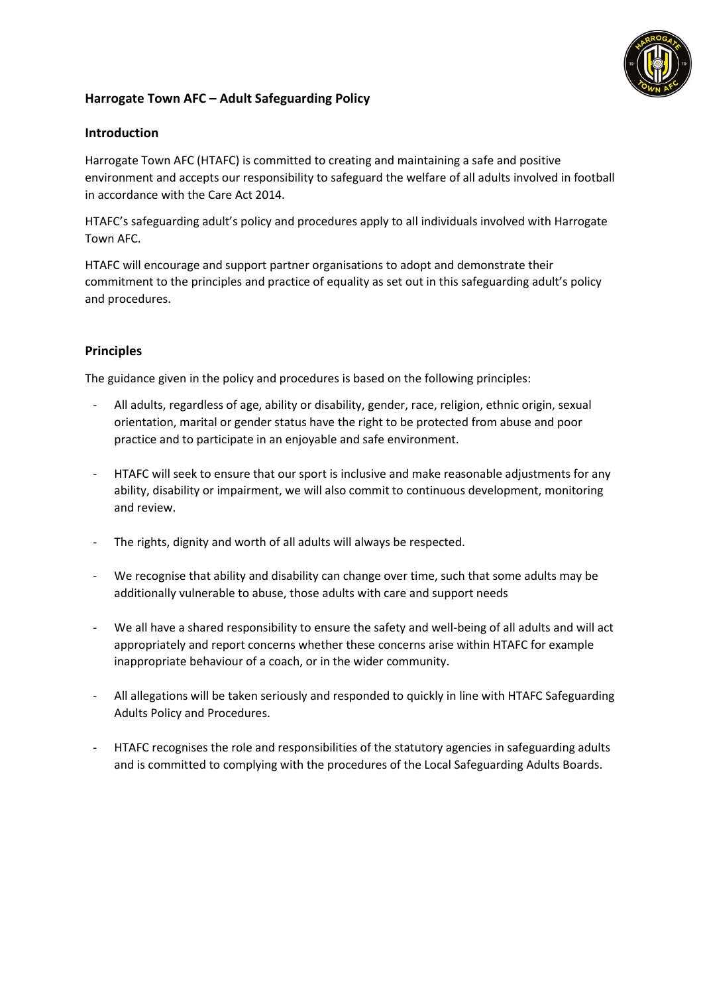

# **Harrogate Town AFC – Adult Safeguarding Policy**

# **Introduction**

Harrogate Town AFC (HTAFC) is committed to creating and maintaining a safe and positive environment and accepts our responsibility to safeguard the welfare of all adults involved in football in accordance with the Care Act 2014.

HTAFC's safeguarding adult's policy and procedures apply to all individuals involved with Harrogate Town AFC.

HTAFC will encourage and support partner organisations to adopt and demonstrate their commitment to the principles and practice of equality as set out in this safeguarding adult's policy and procedures.

# **Principles**

The guidance given in the policy and procedures is based on the following principles:

- All adults, regardless of age, ability or disability, gender, race, religion, ethnic origin, sexual orientation, marital or gender status have the right to be protected from abuse and poor practice and to participate in an enjoyable and safe environment.
- HTAFC will seek to ensure that our sport is inclusive and make reasonable adjustments for any ability, disability or impairment, we will also commit to continuous development, monitoring and review.
- The rights, dignity and worth of all adults will always be respected.
- We recognise that ability and disability can change over time, such that some adults may be additionally vulnerable to abuse, those adults with care and support needs
- We all have a shared responsibility to ensure the safety and well-being of all adults and will act appropriately and report concerns whether these concerns arise within HTAFC for example inappropriate behaviour of a coach, or in the wider community.
- All allegations will be taken seriously and responded to quickly in line with HTAFC Safeguarding Adults Policy and Procedures.
- HTAFC recognises the role and responsibilities of the statutory agencies in safeguarding adults and is committed to complying with the procedures of the Local Safeguarding Adults Boards.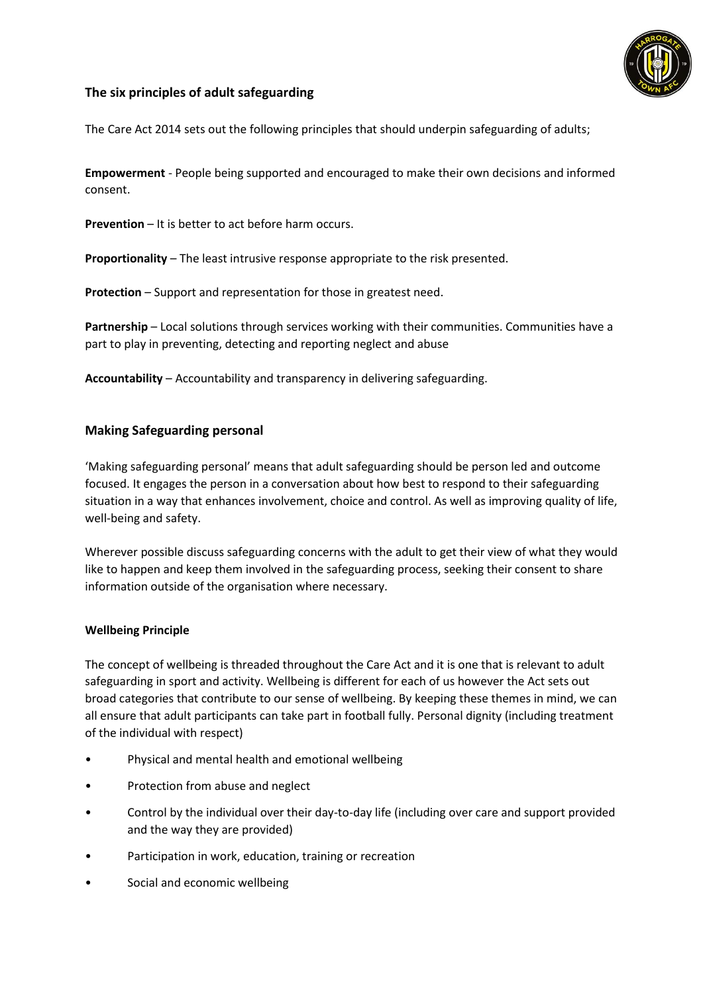

# **The six principles of adult safeguarding**

The Care Act 2014 sets out the following principles that should underpin safeguarding of adults;

**Empowerment** - People being supported and encouraged to make their own decisions and informed consent.

**Prevention** – It is better to act before harm occurs.

**Proportionality** – The least intrusive response appropriate to the risk presented.

**Protection** – Support and representation for those in greatest need.

**Partnership** – Local solutions through services working with their communities. Communities have a part to play in preventing, detecting and reporting neglect and abuse

**Accountability** – Accountability and transparency in delivering safeguarding.

# **Making Safeguarding personal**

'Making safeguarding personal' means that adult safeguarding should be person led and outcome focused. It engages the person in a conversation about how best to respond to their safeguarding situation in a way that enhances involvement, choice and control. As well as improving quality of life, well-being and safety.

Wherever possible discuss safeguarding concerns with the adult to get their view of what they would like to happen and keep them involved in the safeguarding process, seeking their consent to share information outside of the organisation where necessary.

#### **Wellbeing Principle**

The concept of wellbeing is threaded throughout the Care Act and it is one that is relevant to adult safeguarding in sport and activity. Wellbeing is different for each of us however the Act sets out broad categories that contribute to our sense of wellbeing. By keeping these themes in mind, we can all ensure that adult participants can take part in football fully. Personal dignity (including treatment of the individual with respect)

- Physical and mental health and emotional wellbeing
- Protection from abuse and neglect
- Control by the individual over their day-to-day life (including over care and support provided and the way they are provided)
- Participation in work, education, training or recreation
- Social and economic wellbeing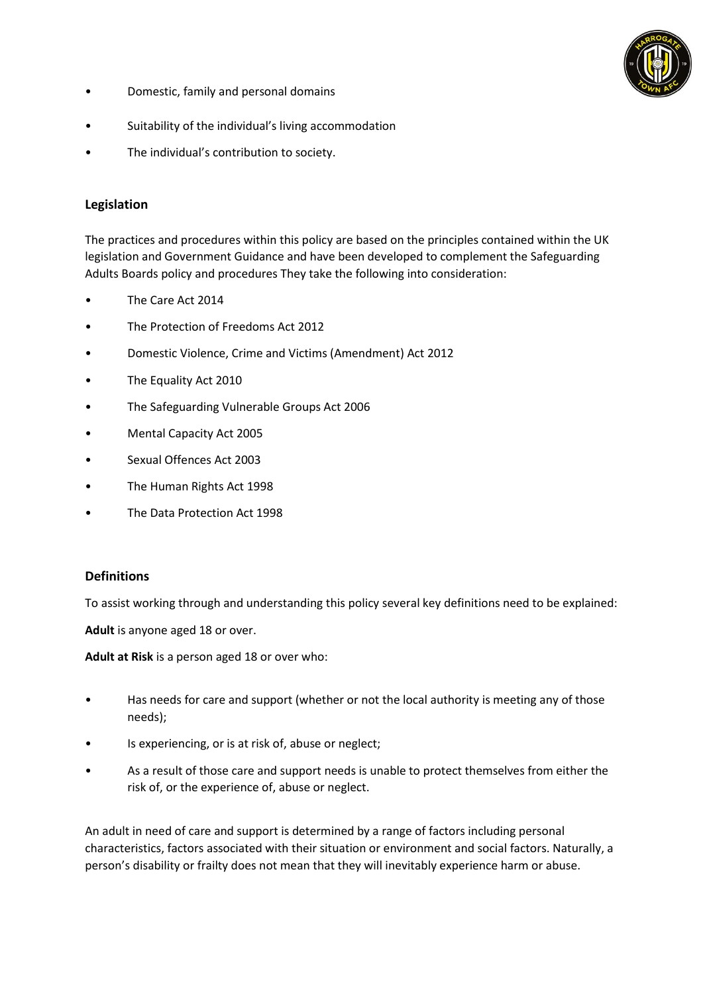

- Domestic, family and personal domains
- Suitability of the individual's living accommodation
- The individual's contribution to society.

## **Legislation**

The practices and procedures within this policy are based on the principles contained within the UK legislation and Government Guidance and have been developed to complement the Safeguarding Adults Boards policy and procedures They take the following into consideration:

- The Care Act 2014
- The Protection of Freedoms Act 2012
- Domestic Violence, Crime and Victims (Amendment) Act 2012
- The Equality Act 2010
- The Safeguarding Vulnerable Groups Act 2006
- Mental Capacity Act 2005
- Sexual Offences Act 2003
- The Human Rights Act 1998
- The Data Protection Act 1998

#### **Definitions**

To assist working through and understanding this policy several key definitions need to be explained:

**Adult** is anyone aged 18 or over.

**Adult at Risk** is a person aged 18 or over who:

- Has needs for care and support (whether or not the local authority is meeting any of those needs);
- Is experiencing, or is at risk of, abuse or neglect;
- As a result of those care and support needs is unable to protect themselves from either the risk of, or the experience of, abuse or neglect.

An adult in need of care and support is determined by a range of factors including personal characteristics, factors associated with their situation or environment and social factors. Naturally, a person's disability or frailty does not mean that they will inevitably experience harm or abuse.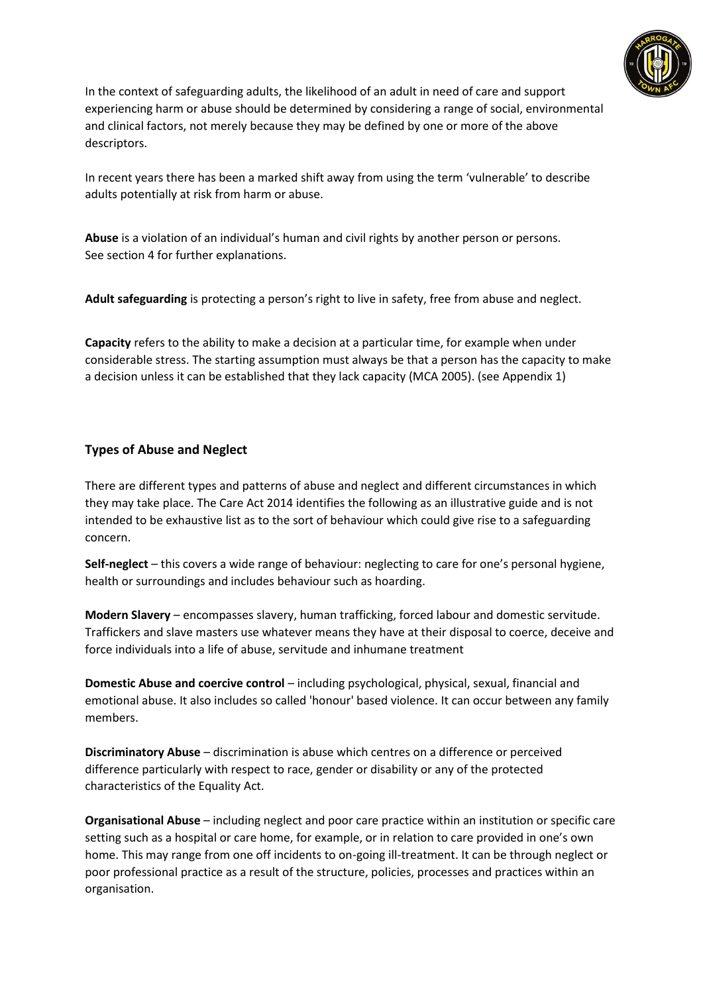

In the context of safeguarding adults, the likelihood of an adult in need of care and support experiencing harm or abuse should be determined by considering a range of social, environmental and clinical factors, not merely because they may be defined by one or more of the above descriptors.

In recent years there has been a marked shift away from using the term 'vulnerable' to describe adults potentially at risk from harm or abuse.

**Abuse** is a violation of an individual's human and civil rights by another person or persons. See section 4 for further explanations.

**Adult safeguarding** is protecting a person's right to live in safety, free from abuse and neglect.

**Capacity** refers to the ability to make a decision at a particular time, for example when under considerable stress. The starting assumption must always be that a person has the capacity to make a decision unless it can be established that they lack capacity (MCA 2005). (see Appendix 1)

# **Types of Abuse and Neglect**

There are different types and patterns of abuse and neglect and different circumstances in which they may take place. The Care Act 2014 identifies the following as an illustrative guide and is not intended to be exhaustive list as to the sort of behaviour which could give rise to a safeguarding concern.

**Self-neglect** – this covers a wide range of behaviour: neglecting to care for one's personal hygiene, health or surroundings and includes behaviour such as hoarding.

**Modern Slavery** – encompasses slavery, human trafficking, forced labour and domestic servitude. Traffickers and slave masters use whatever means they have at their disposal to coerce, deceive and force individuals into a life of abuse, servitude and inhumane treatment

**Domestic Abuse and coercive control** – including psychological, physical, sexual, financial and emotional abuse. It also includes so called 'honour' based violence. It can occur between any family members.

**Discriminatory Abuse** – discrimination is abuse which centres on a difference or perceived difference particularly with respect to race, gender or disability or any of the protected characteristics of the Equality Act.

**Organisational Abuse** – including neglect and poor care practice within an institution or specific care setting such as a hospital or care home, for example, or in relation to care provided in one's own home. This may range from one off incidents to on-going ill-treatment. It can be through neglect or poor professional practice as a result of the structure, policies, processes and practices within an organisation.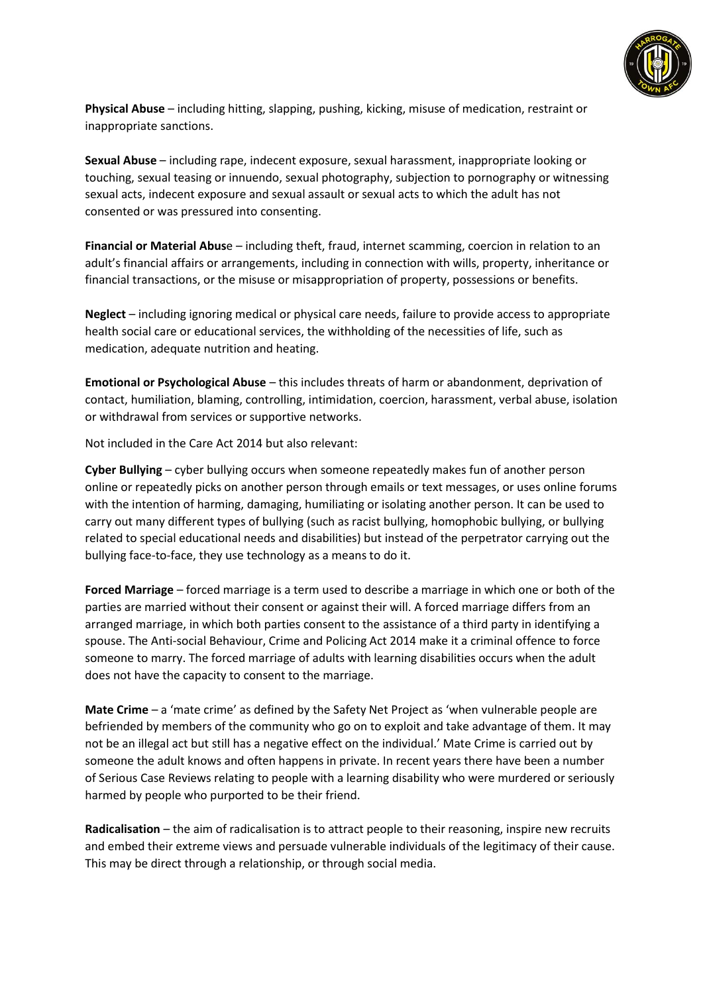

**Physical Abuse** – including hitting, slapping, pushing, kicking, misuse of medication, restraint or inappropriate sanctions.

**Sexual Abuse** – including rape, indecent exposure, sexual harassment, inappropriate looking or touching, sexual teasing or innuendo, sexual photography, subjection to pornography or witnessing sexual acts, indecent exposure and sexual assault or sexual acts to which the adult has not consented or was pressured into consenting.

**Financial or Material Abus**e – including theft, fraud, internet scamming, coercion in relation to an adult's financial affairs or arrangements, including in connection with wills, property, inheritance or financial transactions, or the misuse or misappropriation of property, possessions or benefits.

**Neglect** – including ignoring medical or physical care needs, failure to provide access to appropriate health social care or educational services, the withholding of the necessities of life, such as medication, adequate nutrition and heating.

**Emotional or Psychological Abuse** – this includes threats of harm or abandonment, deprivation of contact, humiliation, blaming, controlling, intimidation, coercion, harassment, verbal abuse, isolation or withdrawal from services or supportive networks.

Not included in the Care Act 2014 but also relevant:

**Cyber Bullying** – cyber bullying occurs when someone repeatedly makes fun of another person online or repeatedly picks on another person through emails or text messages, or uses online forums with the intention of harming, damaging, humiliating or isolating another person. It can be used to carry out many different types of bullying (such as racist bullying, homophobic bullying, or bullying related to special educational needs and disabilities) but instead of the perpetrator carrying out the bullying face-to-face, they use technology as a means to do it.

**Forced Marriage** – forced marriage is a term used to describe a marriage in which one or both of the parties are married without their consent or against their will. A forced marriage differs from an arranged marriage, in which both parties consent to the assistance of a third party in identifying a spouse. The Anti-social Behaviour, Crime and Policing Act 2014 make it a criminal offence to force someone to marry. The forced marriage of adults with learning disabilities occurs when the adult does not have the capacity to consent to the marriage.

**Mate Crime** – a 'mate crime' as defined by the Safety Net Project as 'when vulnerable people are befriended by members of the community who go on to exploit and take advantage of them. It may not be an illegal act but still has a negative effect on the individual.' Mate Crime is carried out by someone the adult knows and often happens in private. In recent years there have been a number of Serious Case Reviews relating to people with a learning disability who were murdered or seriously harmed by people who purported to be their friend.

**Radicalisation** – the aim of radicalisation is to attract people to their reasoning, inspire new recruits and embed their extreme views and persuade vulnerable individuals of the legitimacy of their cause. This may be direct through a relationship, or through social media.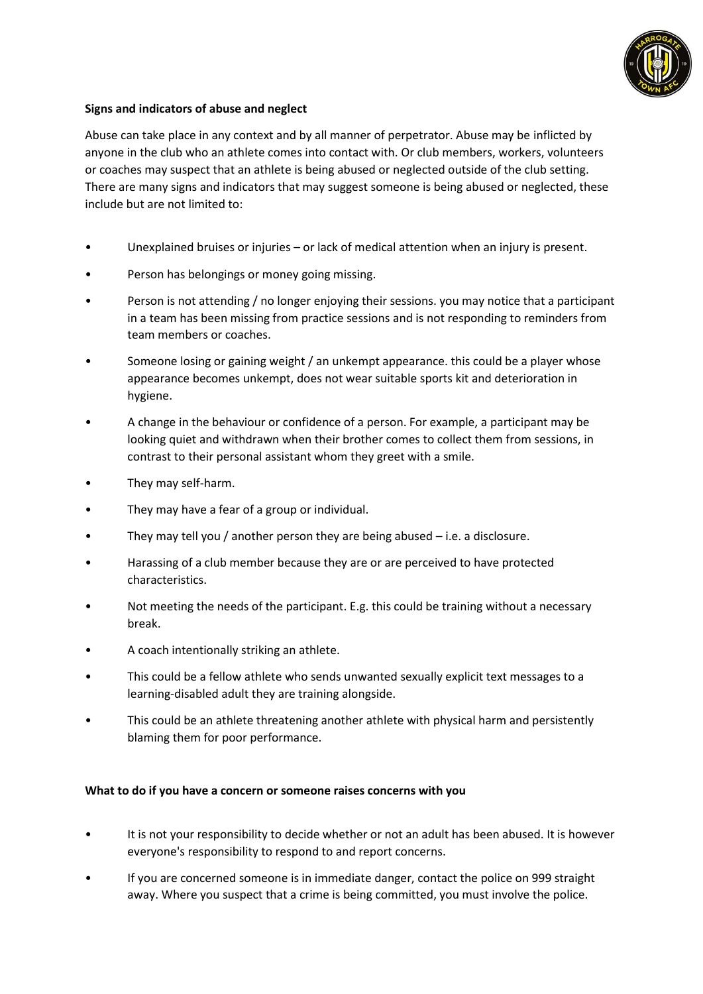

# **Signs and indicators of abuse and neglect**

Abuse can take place in any context and by all manner of perpetrator. Abuse may be inflicted by anyone in the club who an athlete comes into contact with. Or club members, workers, volunteers or coaches may suspect that an athlete is being abused or neglected outside of the club setting. There are many signs and indicators that may suggest someone is being abused or neglected, these include but are not limited to:

- Unexplained bruises or injuries or lack of medical attention when an injury is present.
- Person has belongings or money going missing.
- Person is not attending / no longer enjoying their sessions. you may notice that a participant in a team has been missing from practice sessions and is not responding to reminders from team members or coaches.
- Someone losing or gaining weight / an unkempt appearance. this could be a player whose appearance becomes unkempt, does not wear suitable sports kit and deterioration in hygiene.
- A change in the behaviour or confidence of a person. For example, a participant may be looking quiet and withdrawn when their brother comes to collect them from sessions, in contrast to their personal assistant whom they greet with a smile.
- They may self-harm.
- They may have a fear of a group or individual.
- They may tell you / another person they are being abused  $-$  i.e. a disclosure.
- Harassing of a club member because they are or are perceived to have protected characteristics.
- Not meeting the needs of the participant. E.g. this could be training without a necessary break.
- A coach intentionally striking an athlete.
- This could be a fellow athlete who sends unwanted sexually explicit text messages to a learning-disabled adult they are training alongside.
- This could be an athlete threatening another athlete with physical harm and persistently blaming them for poor performance.

#### **What to do if you have a concern or someone raises concerns with you**

- It is not your responsibility to decide whether or not an adult has been abused. It is however everyone's responsibility to respond to and report concerns.
- If you are concerned someone is in immediate danger, contact the police on 999 straight away. Where you suspect that a crime is being committed, you must involve the police.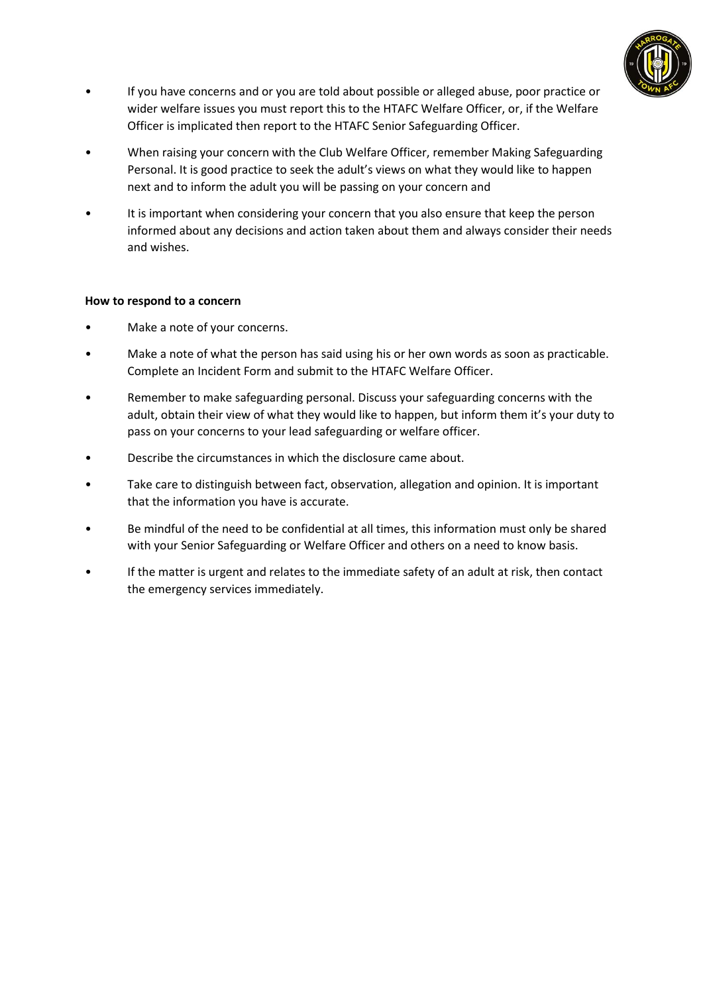

- If you have concerns and or you are told about possible or alleged abuse, poor practice or wider welfare issues you must report this to the HTAFC Welfare Officer, or, if the Welfare Officer is implicated then report to the HTAFC Senior Safeguarding Officer.
- When raising your concern with the Club Welfare Officer, remember Making Safeguarding Personal. It is good practice to seek the adult's views on what they would like to happen next and to inform the adult you will be passing on your concern and
- It is important when considering your concern that you also ensure that keep the person informed about any decisions and action taken about them and always consider their needs and wishes.

## **How to respond to a concern**

- Make a note of your concerns.
- Make a note of what the person has said using his or her own words as soon as practicable. Complete an Incident Form and submit to the HTAFC Welfare Officer.
- Remember to make safeguarding personal. Discuss your safeguarding concerns with the adult, obtain their view of what they would like to happen, but inform them it's your duty to pass on your concerns to your lead safeguarding or welfare officer.
- Describe the circumstances in which the disclosure came about.
- Take care to distinguish between fact, observation, allegation and opinion. It is important that the information you have is accurate.
- Be mindful of the need to be confidential at all times, this information must only be shared with your Senior Safeguarding or Welfare Officer and others on a need to know basis.
- If the matter is urgent and relates to the immediate safety of an adult at risk, then contact the emergency services immediately.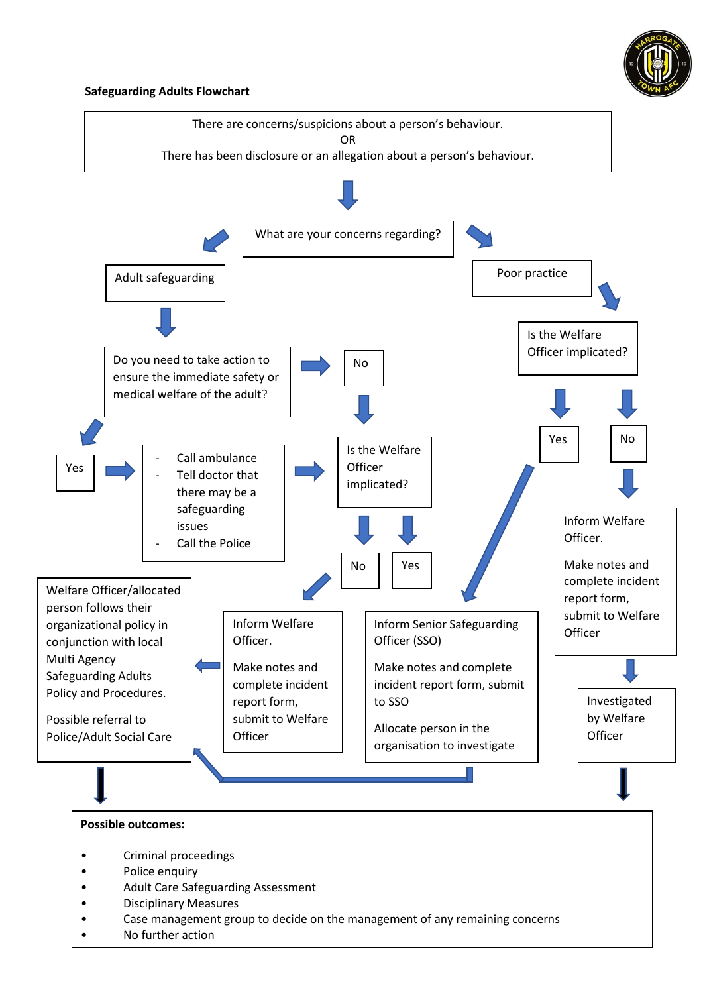

#### **Safeguarding Adults Flowchart**

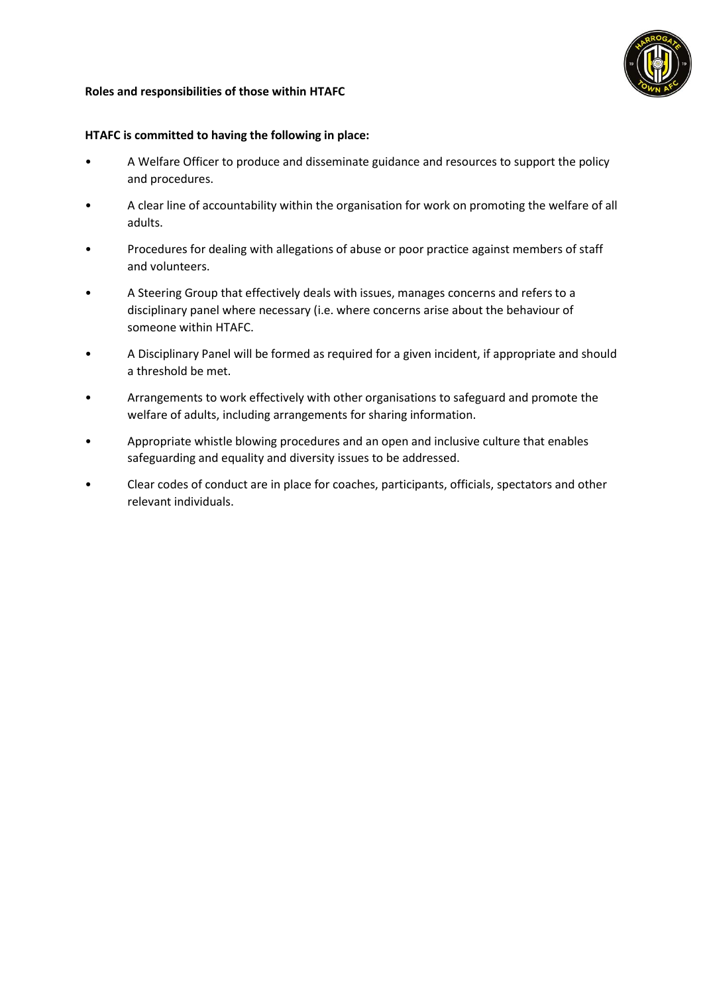

## **Roles and responsibilities of those within HTAFC**

#### **HTAFC is committed to having the following in place:**

- A Welfare Officer to produce and disseminate guidance and resources to support the policy and procedures.
- A clear line of accountability within the organisation for work on promoting the welfare of all adults.
- Procedures for dealing with allegations of abuse or poor practice against members of staff and volunteers.
- A Steering Group that effectively deals with issues, manages concerns and refers to a disciplinary panel where necessary (i.e. where concerns arise about the behaviour of someone within HTAFC.
- A Disciplinary Panel will be formed as required for a given incident, if appropriate and should a threshold be met.
- Arrangements to work effectively with other organisations to safeguard and promote the welfare of adults, including arrangements for sharing information.
- Appropriate whistle blowing procedures and an open and inclusive culture that enables safeguarding and equality and diversity issues to be addressed.
- Clear codes of conduct are in place for coaches, participants, officials, spectators and other relevant individuals.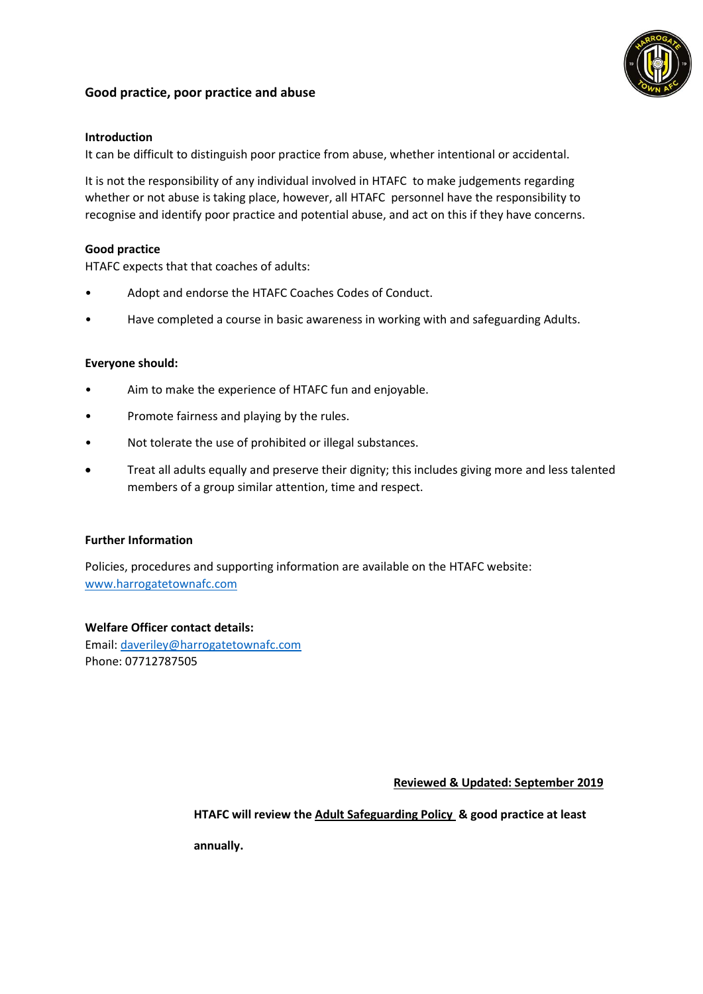# **Good practice, poor practice and abuse**



# **Introduction**

It can be difficult to distinguish poor practice from abuse, whether intentional or accidental.

It is not the responsibility of any individual involved in HTAFC to make judgements regarding whether or not abuse is taking place, however, all HTAFC personnel have the responsibility to recognise and identify poor practice and potential abuse, and act on this if they have concerns.

# **Good practice**

HTAFC expects that that coaches of adults:

- Adopt and endorse the HTAFC Coaches Codes of Conduct.
- Have completed a course in basic awareness in working with and safeguarding Adults.

## **Everyone should:**

- Aim to make the experience of HTAFC fun and enjoyable.
- Promote fairness and playing by the rules.
- Not tolerate the use of prohibited or illegal substances.
- Treat all adults equally and preserve their dignity; this includes giving more and less talented members of a group similar attention, time and respect.

#### **Further Information**

Policies, procedures and supporting information are available on the HTAFC website: [www.harrogatetownafc.com](http://www.harrogatetownafc.com/)

# **Welfare Officer contact details:**

Email: [daveriley@harrogatetownafc.com](mailto:daveriley@harrogatetownafc.com) Phone: 07712787505

 **Reviewed & Updated: September 2019**

**HTAFC will review the Adult Safeguarding Policy & good practice at least** 

**annually.**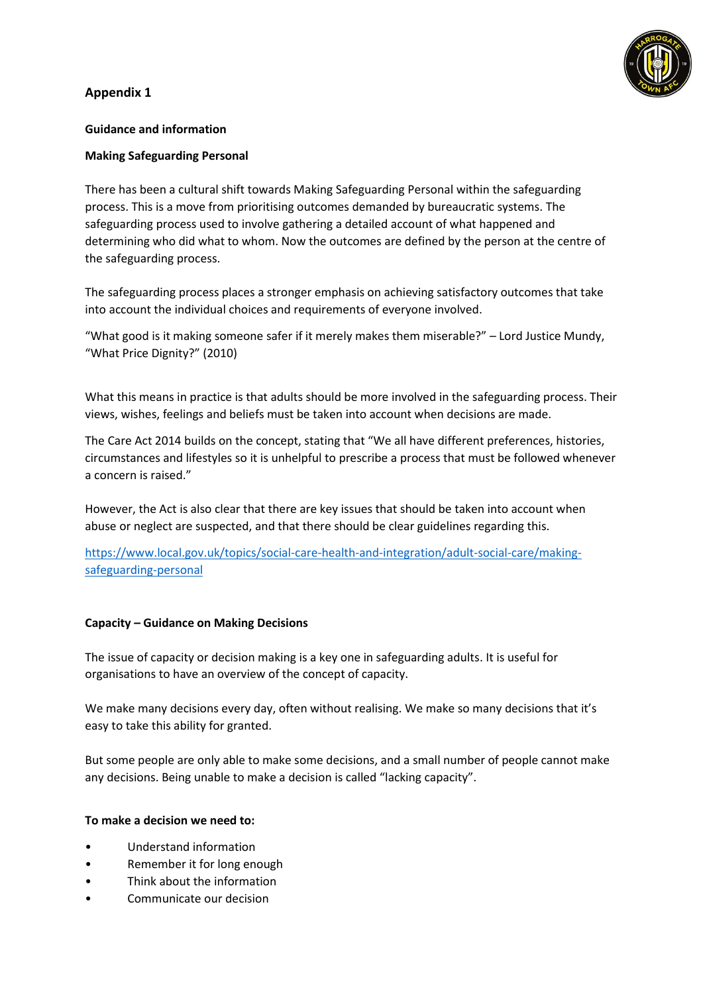# **Appendix 1**

# **Guidance and information**

# **Making Safeguarding Personal**

There has been a cultural shift towards Making Safeguarding Personal within the safeguarding process. This is a move from prioritising outcomes demanded by bureaucratic systems. The safeguarding process used to involve gathering a detailed account of what happened and determining who did what to whom. Now the outcomes are defined by the person at the centre of the safeguarding process.

The safeguarding process places a stronger emphasis on achieving satisfactory outcomes that take into account the individual choices and requirements of everyone involved.

"What good is it making someone safer if it merely makes them miserable?" – Lord Justice Mundy, "What Price Dignity?" (2010)

What this means in practice is that adults should be more involved in the safeguarding process. Their views, wishes, feelings and beliefs must be taken into account when decisions are made.

The Care Act 2014 builds on the concept, stating that "We all have different preferences, histories, circumstances and lifestyles so it is unhelpful to prescribe a process that must be followed whenever a concern is raised."

However, the Act is also clear that there are key issues that should be taken into account when abuse or neglect are suspected, and that there should be clear guidelines regarding this.

[https://www.local.gov.uk/topics/social-care-health-and-integration/adult-social-care/making](https://www.local.gov.uk/topics/social-care-health-and-integration/adult-social-care/making-safeguarding-personal)[safeguarding-personal](https://www.local.gov.uk/topics/social-care-health-and-integration/adult-social-care/making-safeguarding-personal)

# **Capacity – Guidance on Making Decisions**

The issue of capacity or decision making is a key one in safeguarding adults. It is useful for organisations to have an overview of the concept of capacity.

We make many decisions every day, often without realising. We make so many decisions that it's easy to take this ability for granted.

But some people are only able to make some decisions, and a small number of people cannot make any decisions. Being unable to make a decision is called "lacking capacity".

# **To make a decision we need to:**

- Understand information
- Remember it for long enough
- Think about the information
- Communicate our decision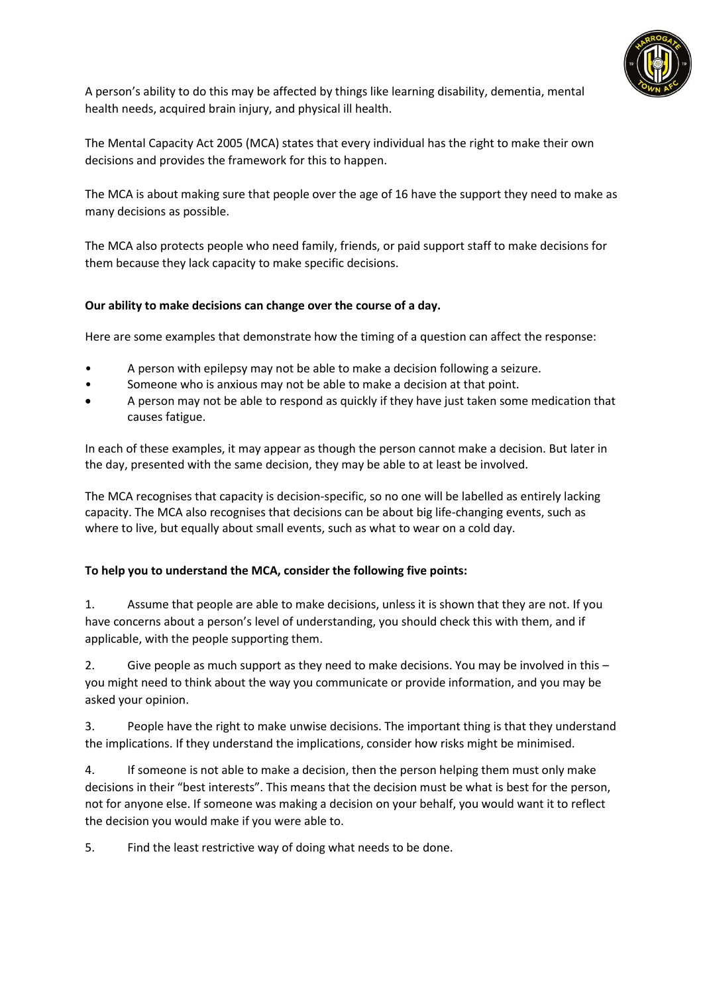

A person's ability to do this may be affected by things like learning disability, dementia, mental health needs, acquired brain injury, and physical ill health.

The Mental Capacity Act 2005 (MCA) states that every individual has the right to make their own decisions and provides the framework for this to happen.

The MCA is about making sure that people over the age of 16 have the support they need to make as many decisions as possible.

The MCA also protects people who need family, friends, or paid support staff to make decisions for them because they lack capacity to make specific decisions.

# **Our ability to make decisions can change over the course of a day.**

Here are some examples that demonstrate how the timing of a question can affect the response:

- A person with epilepsy may not be able to make a decision following a seizure.
- Someone who is anxious may not be able to make a decision at that point.
- A person may not be able to respond as quickly if they have just taken some medication that causes fatigue.

In each of these examples, it may appear as though the person cannot make a decision. But later in the day, presented with the same decision, they may be able to at least be involved.

The MCA recognises that capacity is decision-specific, so no one will be labelled as entirely lacking capacity. The MCA also recognises that decisions can be about big life-changing events, such as where to live, but equally about small events, such as what to wear on a cold day.

# **To help you to understand the MCA, consider the following five points:**

1. Assume that people are able to make decisions, unless it is shown that they are not. If you have concerns about a person's level of understanding, you should check this with them, and if applicable, with the people supporting them.

2. Give people as much support as they need to make decisions. You may be involved in this – you might need to think about the way you communicate or provide information, and you may be asked your opinion.

3. People have the right to make unwise decisions. The important thing is that they understand the implications. If they understand the implications, consider how risks might be minimised.

4. If someone is not able to make a decision, then the person helping them must only make decisions in their "best interests". This means that the decision must be what is best for the person, not for anyone else. If someone was making a decision on your behalf, you would want it to reflect the decision you would make if you were able to.

5. Find the least restrictive way of doing what needs to be done.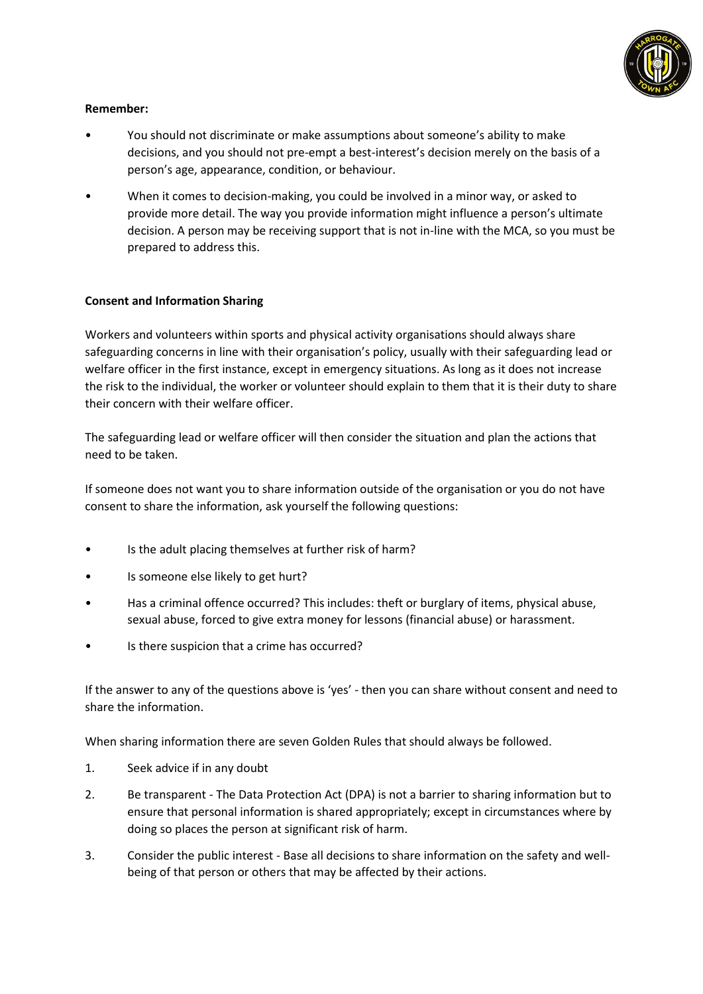

# **Remember:**

- You should not discriminate or make assumptions about someone's ability to make decisions, and you should not pre-empt a best-interest's decision merely on the basis of a person's age, appearance, condition, or behaviour.
- When it comes to decision-making, you could be involved in a minor way, or asked to provide more detail. The way you provide information might influence a person's ultimate decision. A person may be receiving support that is not in-line with the MCA, so you must be prepared to address this.

## **Consent and Information Sharing**

Workers and volunteers within sports and physical activity organisations should always share safeguarding concerns in line with their organisation's policy, usually with their safeguarding lead or welfare officer in the first instance, except in emergency situations. As long as it does not increase the risk to the individual, the worker or volunteer should explain to them that it is their duty to share their concern with their welfare officer.

The safeguarding lead or welfare officer will then consider the situation and plan the actions that need to be taken.

If someone does not want you to share information outside of the organisation or you do not have consent to share the information, ask yourself the following questions:

- Is the adult placing themselves at further risk of harm?
- Is someone else likely to get hurt?
- Has a criminal offence occurred? This includes: theft or burglary of items, physical abuse, sexual abuse, forced to give extra money for lessons (financial abuse) or harassment.
- Is there suspicion that a crime has occurred?

If the answer to any of the questions above is 'yes' - then you can share without consent and need to share the information.

When sharing information there are seven Golden Rules that should always be followed.

- 1. Seek advice if in any doubt
- 2. Be transparent The Data Protection Act (DPA) is not a barrier to sharing information but to ensure that personal information is shared appropriately; except in circumstances where by doing so places the person at significant risk of harm.
- 3. Consider the public interest Base all decisions to share information on the safety and wellbeing of that person or others that may be affected by their actions.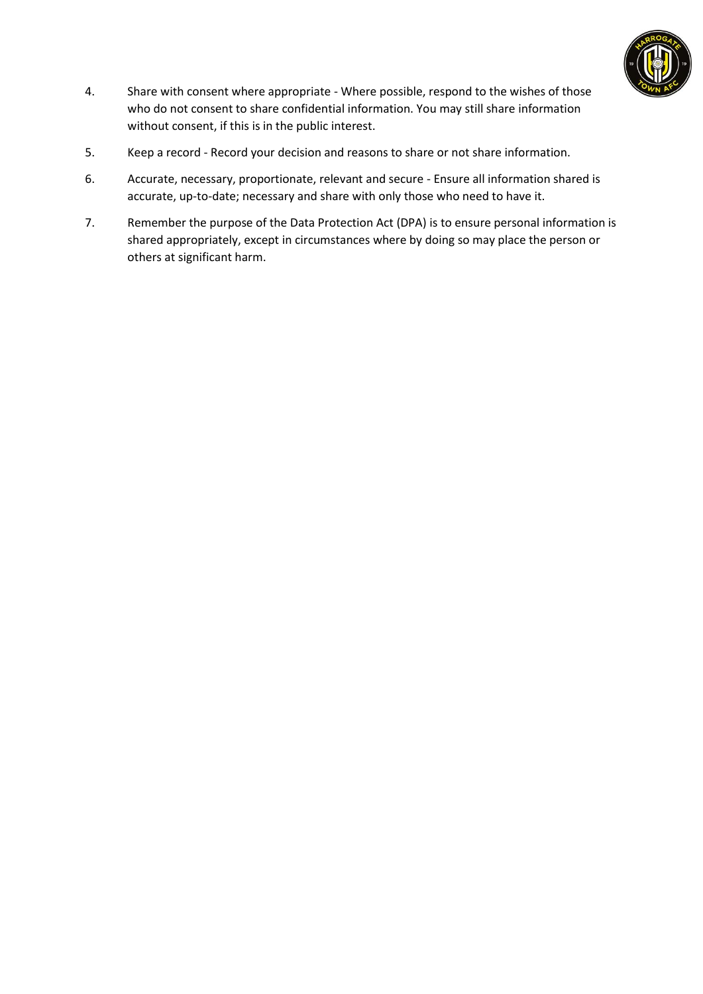

- 4. Share with consent where appropriate Where possible, respond to the wishes of those who do not consent to share confidential information. You may still share information without consent, if this is in the public interest.
- 5. Keep a record Record your decision and reasons to share or not share information.
- 6. Accurate, necessary, proportionate, relevant and secure Ensure all information shared is accurate, up-to-date; necessary and share with only those who need to have it.
- 7. Remember the purpose of the Data Protection Act (DPA) is to ensure personal information is shared appropriately, except in circumstances where by doing so may place the person or others at significant harm.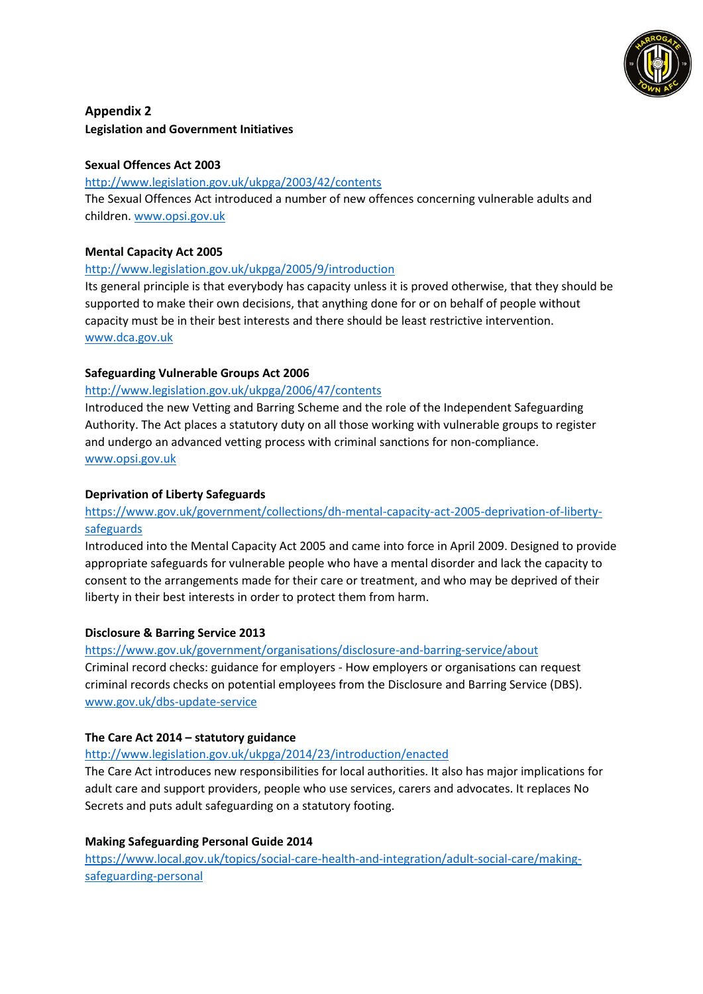

# **Appendix 2 Legislation and Government Initiatives**

# **Sexual Offences Act 2003**

## <http://www.legislation.gov.uk/ukpga/2003/42/contents>

The Sexual Offences Act introduced a number of new offences concerning vulnerable adults and children[. www.opsi.gov.uk](http://www.opsi.gov.uk/)

## **Mental Capacity Act 2005**

## <http://www.legislation.gov.uk/ukpga/2005/9/introduction>

Its general principle is that everybody has capacity unless it is proved otherwise, that they should be supported to make their own decisions, that anything done for or on behalf of people without capacity must be in their best interests and there should be least restrictive intervention. [www.dca.gov.uk](http://www.dca.gov.uk/)

## **Safeguarding Vulnerable Groups Act 2006**

## <http://www.legislation.gov.uk/ukpga/2006/47/contents>

Introduced the new Vetting and Barring Scheme and the role of the Independent Safeguarding Authority. The Act places a statutory duty on all those working with vulnerable groups to register and undergo an advanced vetting process with criminal sanctions for non-compliance. [www.opsi.gov.uk](http://www.opsi.gov.uk/)

## **Deprivation of Liberty Safeguards**

# [https://www.gov.uk/government/collections/dh-mental-capacity-act-2005-deprivation-of-liberty](https://www.gov.uk/government/collections/dh-mental-capacity-act-2005-deprivation-of-liberty-safeguards)[safeguards](https://www.gov.uk/government/collections/dh-mental-capacity-act-2005-deprivation-of-liberty-safeguards)

Introduced into the Mental Capacity Act 2005 and came into force in April 2009. Designed to provide appropriate safeguards for vulnerable people who have a mental disorder and lack the capacity to consent to the arrangements made for their care or treatment, and who may be deprived of their liberty in their best interests in order to protect them from harm.

# **Disclosure & Barring Service 2013**

#### <https://www.gov.uk/government/organisations/disclosure-and-barring-service/about>

Criminal record checks: guidance for employers - How employers or organisations can request criminal records checks on potential employees from the Disclosure and Barring Service (DBS). [www.gov.uk/dbs-update-service](http://www.gov.uk/dbs-update-service)

#### **The Care Act 2014 – statutory guidance**

#### <http://www.legislation.gov.uk/ukpga/2014/23/introduction/enacted>

The Care Act introduces new responsibilities for local authorities. It also has major implications for adult care and support providers, people who use services, carers and advocates. It replaces No Secrets and puts adult safeguarding on a statutory footing.

# **Making Safeguarding Personal Guide 2014**

[https://www.local.gov.uk/topics/social-care-health-and-integration/adult-social-care/making](https://www.local.gov.uk/topics/social-care-health-and-integration/adult-social-care/making-safeguarding-personal)[safeguarding-personal](https://www.local.gov.uk/topics/social-care-health-and-integration/adult-social-care/making-safeguarding-personal)